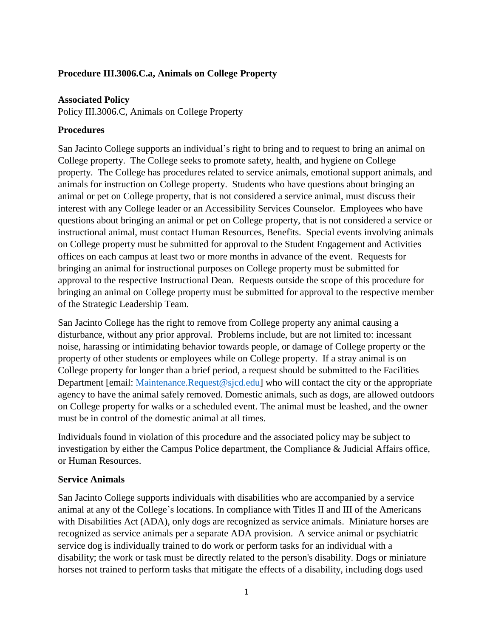#### **Procedure III.3006.C.a, Animals on College Property**

#### **Associated Policy**

Policy III.3006.C, Animals on College Property

### **Procedures**

San Jacinto College supports an individual's right to bring and to request to bring an animal on College property. The College seeks to promote safety, health, and hygiene on College property. The College has procedures related to service animals, emotional support animals, and animals for instruction on College property. Students who have questions about bringing an animal or pet on College property, that is not considered a service animal, must discuss their interest with any College leader or an Accessibility Services Counselor. Employees who have questions about bringing an animal or pet on College property, that is not considered a service or instructional animal, must contact Human Resources, Benefits. Special events involving animals on College property must be submitted for approval to the Student Engagement and Activities offices on each campus at least two or more months in advance of the event. Requests for bringing an animal for instructional purposes on College property must be submitted for approval to the respective Instructional Dean. Requests outside the scope of this procedure for bringing an animal on College property must be submitted for approval to the respective member of the Strategic Leadership Team.

San Jacinto College has the right to remove from College property any animal causing a disturbance, without any prior approval. Problems include, but are not limited to: incessant noise, harassing or intimidating behavior towards people, or damage of College property or the property of other students or employees while on College property. If a stray animal is on College property for longer than a brief period, a request should be submitted to the Facilities Department [email: [Maintenance.Request@sjcd.edu\]](mailto:Maintenance.Request@sjcd.edu) who will contact the city or the appropriate agency to have the animal safely removed. Domestic animals, such as dogs, are allowed outdoors on College property for walks or a scheduled event. The animal must be leashed, and the owner must be in control of the domestic animal at all times.

Individuals found in violation of this procedure and the associated policy may be subject to investigation by either the Campus Police department, the Compliance & Judicial Affairs office, or Human Resources.

#### **Service Animals**

San Jacinto College supports individuals with disabilities who are accompanied by a service animal at any of the College's locations. In compliance with Titles II and III of the Americans with Disabilities Act (ADA), only dogs are recognized as service animals. Miniature horses are recognized as service animals per a separate ADA provision. A service animal or psychiatric service dog is individually trained to do work or perform tasks for an individual with a disability; the work or task must be directly related to the person's disability. Dogs or miniature horses not trained to perform tasks that mitigate the effects of a disability, including dogs used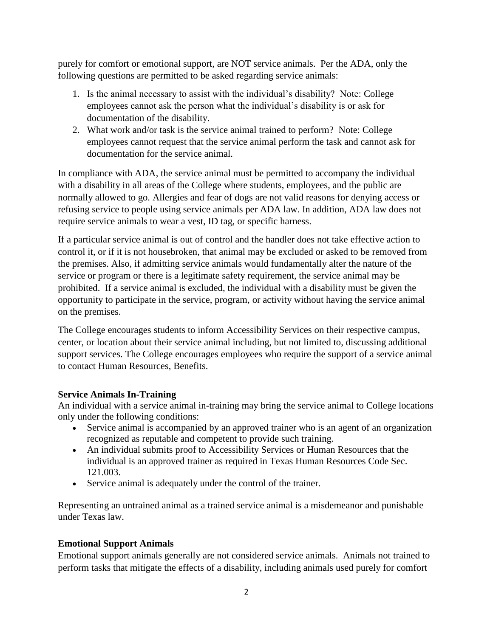purely for comfort or emotional support, are NOT service animals. Per the ADA, only the following questions are permitted to be asked regarding service animals:

- 1. Is the animal necessary to assist with the individual's disability? Note: College employees cannot ask the person what the individual's disability is or ask for documentation of the disability.
- 2. What work and/or task is the service animal trained to perform? Note: College employees cannot request that the service animal perform the task and cannot ask for documentation for the service animal.

In compliance with ADA, the service animal must be permitted to accompany the individual with a disability in all areas of the College where students, employees, and the public are normally allowed to go. Allergies and fear of dogs are not valid reasons for denying access or refusing service to people using service animals per ADA law. In addition, ADA law does not require service animals to wear a vest, ID tag, or specific harness.

If a particular service animal is out of control and the handler does not take effective action to control it, or if it is not housebroken, that animal may be excluded or asked to be removed from the premises. Also, if admitting service animals would fundamentally alter the nature of the service or program or there is a legitimate safety requirement, the service animal may be prohibited. If a service animal is excluded, the individual with a disability must be given the opportunity to participate in the service, program, or activity without having the service animal on the premises.

The College encourages students to inform Accessibility Services on their respective campus, center, or location about their service animal including, but not limited to, discussing additional support services. The College encourages employees who require the support of a service animal to contact Human Resources, Benefits.

# **Service Animals In-Training**

An individual with a service animal in-training may bring the service animal to College locations only under the following conditions:

- Service animal is accompanied by an approved trainer who is an agent of an organization recognized as reputable and competent to provide such training.
- An individual submits proof to Accessibility Services or Human Resources that the individual is an approved trainer as required in Texas Human Resources Code Sec. 121.003.
- Service animal is adequately under the control of the trainer.

Representing an untrained animal as a trained service animal is a misdemeanor and punishable under Texas law.

# **Emotional Support Animals**

Emotional support animals generally are not considered service animals. Animals not trained to perform tasks that mitigate the effects of a disability, including animals used purely for comfort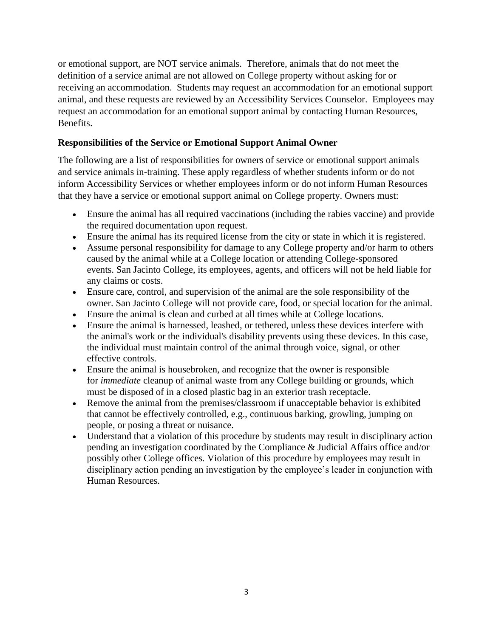or emotional support, are NOT service animals. Therefore, animals that do not meet the definition of a service animal are not allowed on College property without asking for or receiving an accommodation. Students may request an accommodation for an emotional support animal, and these requests are reviewed by an Accessibility Services Counselor. Employees may request an accommodation for an emotional support animal by contacting Human Resources, Benefits.

### **Responsibilities of the Service or Emotional Support Animal Owner**

The following are a list of responsibilities for owners of service or emotional support animals and service animals in-training. These apply regardless of whether students inform or do not inform Accessibility Services or whether employees inform or do not inform Human Resources that they have a service or emotional support animal on College property. Owners must:

- Ensure the animal has all required vaccinations (including the rabies vaccine) and provide the required documentation upon request.
- Ensure the animal has its required license from the city or state in which it is registered.
- Assume personal responsibility for damage to any College property and/or harm to others caused by the animal while at a College location or attending College-sponsored events. San Jacinto College, its employees, agents, and officers will not be held liable for any claims or costs.
- Ensure care, control, and supervision of the animal are the sole responsibility of the owner. San Jacinto College will not provide care, food, or special location for the animal.
- Ensure the animal is clean and curbed at all times while at College locations.
- Ensure the animal is harnessed, leashed, or tethered, unless these devices interfere with the animal's work or the individual's disability prevents using these devices. In this case, the individual must maintain control of the animal through voice, signal, or other effective controls.
- Ensure the animal is housebroken, and recognize that the owner is responsible for *immediate* cleanup of animal waste from any College building or grounds, which must be disposed of in a closed plastic bag in an exterior trash receptacle.
- Remove the animal from the premises/classroom if unacceptable behavior is exhibited that cannot be effectively controlled, e.g., continuous barking, growling, jumping on people, or posing a threat or nuisance.
- Understand that a violation of this procedure by students may result in disciplinary action pending an investigation coordinated by the Compliance & Judicial Affairs office and/or possibly other College offices*.* Violation of this procedure by employees may result in disciplinary action pending an investigation by the employee's leader in conjunction with Human Resources.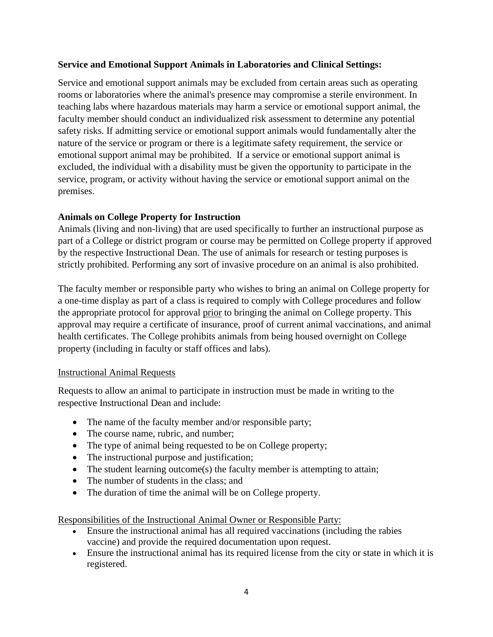### **Service and Emotional Support Animals in Laboratories and Clinical Settings:**

Service and emotional support animals may be excluded from certain areas such as operating rooms or laboratories where the animal's presence may compromise a sterile environment. In teaching labs where hazardous materials may harm a service or emotional support animal, the faculty member should conduct an individualized risk assessment to determine any potential safety risks. If admitting service or emotional support animals would fundamentally alter the nature of the service or program or there is a legitimate safety requirement, the service or emotional support animal may be prohibited. If a service or emotional support animal is excluded, the individual with a disability must be given the opportunity to participate in the service, program, or activity without having the service or emotional support animal on the premises.

# **Animals on College Property for Instruction**

Animals (living and non-living) that are used specifically to further an instructional purpose as part of a College or district program or course may be permitted on College property if approved by the respective Instructional Dean. The use of animals for research or testing purposes is strictly prohibited. Performing any sort of invasive procedure on an animal is also prohibited.

The faculty member or responsible party who wishes to bring an animal on College property for a one-time display as part of a class is required to comply with College procedures and follow the appropriate protocol for approval prior to bringing the animal on College property. This approval may require a certificate of insurance, proof of current animal vaccinations, and animal health certificates. The College prohibits animals from being housed overnight on College property (including in faculty or staff offices and labs).

#### Instructional Animal Requests

Requests to allow an animal to participate in instruction must be made in writing to the respective Instructional Dean and include:

- The name of the faculty member and/or responsible party;
- The course name, rubric, and number;
- The type of animal being requested to be on College property;
- The instructional purpose and justification;
- The student learning outcome(s) the faculty member is attempting to attain;
- The number of students in the class; and
- The duration of time the animal will be on College property.

Responsibilities of the Instructional Animal Owner or Responsible Party:

- Ensure the instructional animal has all required vaccinations (including the rabies vaccine) and provide the required documentation upon request.
- Ensure the instructional animal has its required license from the city or state in which it is registered.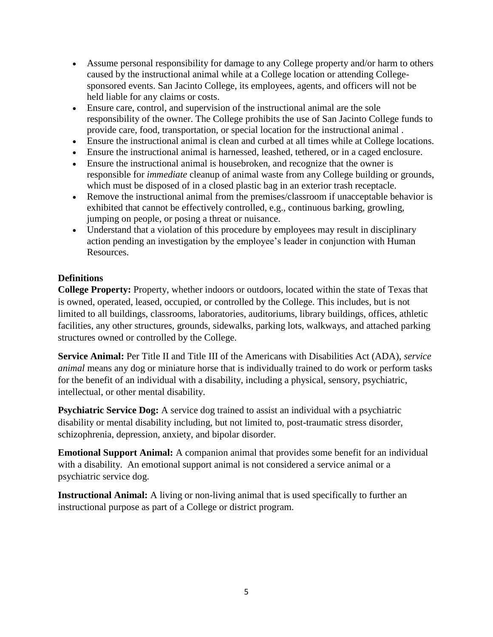- Assume personal responsibility for damage to any College property and/or harm to others caused by the instructional animal while at a College location or attending Collegesponsored events. San Jacinto College, its employees, agents, and officers will not be held liable for any claims or costs.
- Ensure care, control, and supervision of the instructional animal are the sole responsibility of the owner. The College prohibits the use of San Jacinto College funds to provide care, food, transportation, or special location for the instructional animal .
- Ensure the instructional animal is clean and curbed at all times while at College locations.
- Ensure the instructional animal is harnessed, leashed, tethered, or in a caged enclosure.
- Ensure the instructional animal is housebroken, and recognize that the owner is responsible for *immediate* cleanup of animal waste from any College building or grounds, which must be disposed of in a closed plastic bag in an exterior trash receptacle.
- Remove the instructional animal from the premises/classroom if unacceptable behavior is exhibited that cannot be effectively controlled, e.g., continuous barking, growling, jumping on people, or posing a threat or nuisance.
- Understand that a violation of this procedure by employees may result in disciplinary action pending an investigation by the employee's leader in conjunction with Human Resources.

# **Definitions**

**College Property:** Property, whether indoors or outdoors, located within the state of Texas that is owned, operated, leased, occupied, or controlled by the College. This includes, but is not limited to all buildings, classrooms, laboratories, auditoriums, library buildings, offices, athletic facilities, any other structures, grounds, sidewalks, parking lots, walkways, and attached parking structures owned or controlled by the College.

**Service Animal:** Per Title II and Title III of the Americans with Disabilities Act (ADA), *service animal* means any dog or miniature horse that is individually trained to do work or perform tasks for the benefit of an individual with a disability, including a physical, sensory, psychiatric, intellectual, or other mental disability.

**Psychiatric Service Dog:** A service dog trained to assist an individual with a psychiatric disability or mental disability including, but not limited to, post-traumatic stress disorder, schizophrenia, depression, anxiety, and bipolar disorder.

**Emotional Support Animal:** A companion animal that provides some benefit for an individual with a disability. An emotional support animal is not considered a service animal or a psychiatric service dog.

**Instructional Animal:** A living or non-living animal that is used specifically to further an instructional purpose as part of a College or district program.